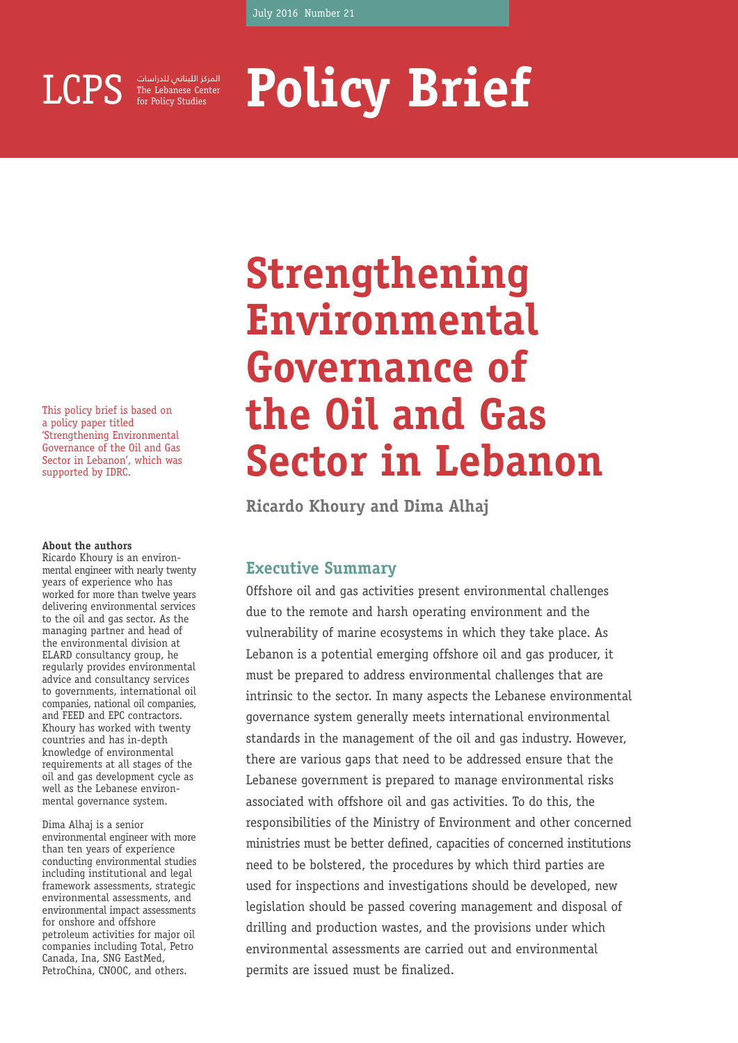

for Policy Studies المركز اللبناني للدراسات

# **Policy Brief Lebanese Center**

This policy brief is based on a policy paper titled 'Strengthening Environmental Governance of the Oil and Gas Sector in Lebanon', which was supported by IDRC.

#### **About the authors**

Ricardo Khoury is an environmental engineer with nearly twenty years of experience who has worked for more than twelve years delivering environmental services to the oil and gas sector. As the managing partner and head of the environmental division at ELARD consultancy group, he regularly provides environmental advice and consultancy services to governments, international oil companies, national oil companies, and FEED and EPC contractors. Khoury has worked with twenty countries and has in-depth knowledge of environmental requirements at all stages of the oil and gas development cycle as well as the Lebanese environmental governance system.

#### Dima Alhaj is a senior

environmental engineer with more than ten years of experience conducting environmental studies including institutional and legal framework assessments, strategic environmental assessments, and environmental impact assessments for onshore and offshore petroleum activities for major oil companies including Total, Petro Canada, Ina, SNG EastMed, PetroChina, CNOOC, and others.

## **Strengthening Environmental Governance of the Oil and Gas Sector in Lebanon**

**Ricardo Khoury and Dima Alhaj**

#### **Executive Summary**

Offshore oil and gas activities present environmental challenges due to the remote and harsh operating environment and the vulnerability of marine ecosystems in which they take place. As Lebanon is a potential emerging offshore oil and gas producer, it must be prepared to address environmental challenges that are intrinsic to the sector. In many aspects the Lebanese environmental governance system generally meets international environmental standards in the management of the oil and gas industry. However, there are various gaps that need to be addressed ensure that the Lebanese government is prepared to manage environmental risks associated with offshore oil and gas activities. To do this, the responsibilities of the Ministry of Environment and other concerned ministries must be better defined, capacities of concerned institutions need to be bolstered, the procedures by which third parties are used for inspections and investigations should be developed, new legislation should be passed covering management and disposal of drilling and production wastes, and the provisions under which environmental assessments are carried out and environmental permits are issued must be finalized.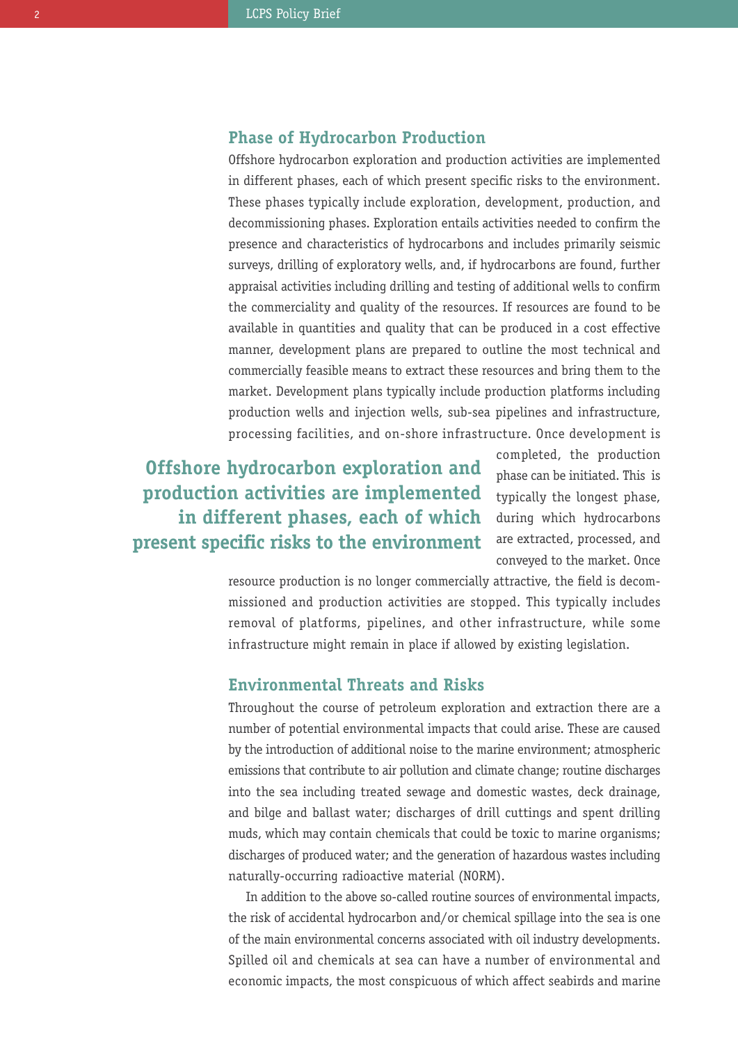#### **Phase of Hydrocarbon Production**

Offshore hydrocarbon exploration and production activities are implemented in different phases, each of which present specific risks to the environment. These phases typically include exploration, development, production, and decommissioning phases. Exploration entails activities needed to confirm the presence and characteristics of hydrocarbons and includes primarily seismic surveys, drilling of exploratory wells, and, if hydrocarbons are found, further appraisal activities including drilling and testing of additional wells to confirm the commerciality and quality of the resources. If resources are found to be available in quantities and quality that can be produced in a cost effective manner, development plans are prepared to outline the most technical and commercially feasible means to extract these resources and bring them to the market. Development plans typically include production platforms including production wells and injection wells, sub-sea pipelines and infrastructure, processing facilities, and on-shore infrastructure. Once development is

**Offshore hydrocarbon exploration and production activities are implemented in different phases, each of which present specific risks to the environment**

completed, the production phase can be initiated. This is typically the longest phase, during which hydrocarbons are extracted, processed, and conveyed to the market. Once

resource production is no longer commercially attractive, the field is decommissioned and production activities are stopped. This typically includes removal of platforms, pipelines, and other infrastructure, while some infrastructure might remain in place if allowed by existing legislation.

#### **Environmental Threats and Risks**

Throughout the course of petroleum exploration and extraction there are a number of potential environmental impacts that could arise. These are caused by the introduction of additional noise to the marine environment; atmospheric emissions that contribute to air pollution and climate change; routine discharges into the sea including treated sewage and domestic wastes, deck drainage, and bilge and ballast water; discharges of drill cuttings and spent drilling muds, which may contain chemicals that could be toxic to marine organisms; discharges of produced water; and the generation of hazardous wastes including naturally-occurring radioactive material (NORM).

In addition to the above so-called routine sources of environmental impacts, the risk of accidental hydrocarbon and/or chemical spillage into the sea is one of the main environmental concerns associated with oil industry developments. Spilled oil and chemicals at sea can have a number of environmental and economic impacts, the most conspicuous of which affect seabirds and marine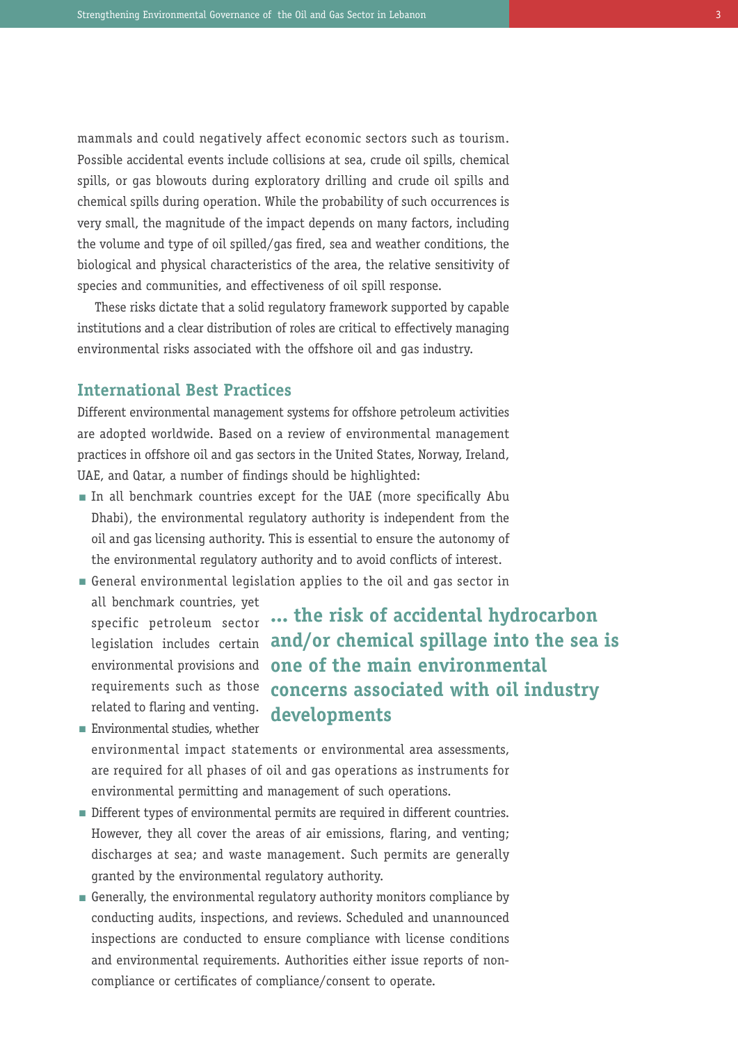mammals and could negatively affect economic sectors such as tourism. Possible accidental events include collisions at sea, crude oil spills, chemical spills, or gas blowouts during exploratory drilling and crude oil spills and chemical spills during operation. While the probability of such occurrences is very small, the magnitude of the impact depends on many factors, including the volume and type of oil spilled/gas fired, sea and weather conditions, the biological and physical characteristics of the area, the relative sensitivity of species and communities, and effectiveness of oil spill response.

These risks dictate that a solid regulatory framework supported by capable institutions and a clear distribution of roles are critical to effectively managing environmental risks associated with the offshore oil and gas industry.

#### **International Best Practices**

Different environmental management systems for offshore petroleum activities are adopted worldwide. Based on a review of environmental management practices in offshore oil and gas sectors in the United States, Norway, Ireland, UAE, and Qatar, a number of findings should be highlighted:

- In all benchmark countries except for the UAE (more specifically Abu Dhabi), the environmental regulatory authority is independent from the oil and gas licensing authority. This is essential to ensure the autonomy of the environmental regulatory authority and to avoid conflicts of interest.
- General environmental legislation applies to the oil and gas sector in n all benchmark countries, yet specific petroleum sector **... the risk of accidental hydrocarbon**

requirements such as those related to flaring and venting.

legislation includes certain **and/or chemical spillage into the sea is** environmental provisions and **one of the main environmental concerns associated with oil industry developments**

- **Environmental studies, whether** environmental impact statements or environmental area assessments, are required for all phases of oil and gas operations as instruments for environmental permitting and management of such operations.
- Different types of environmental permits are required in different countries. However, they all cover the areas of air emissions, flaring, and venting; discharges at sea; and waste management. Such permits are generally granted by the environmental regulatory authority.
- Generally, the environmental regulatory authority monitors compliance by nconducting audits, inspections, and reviews. Scheduled and unannounced inspections are conducted to ensure compliance with license conditions and environmental requirements. Authorities either issue reports of noncompliance or certificates of compliance/consent to operate.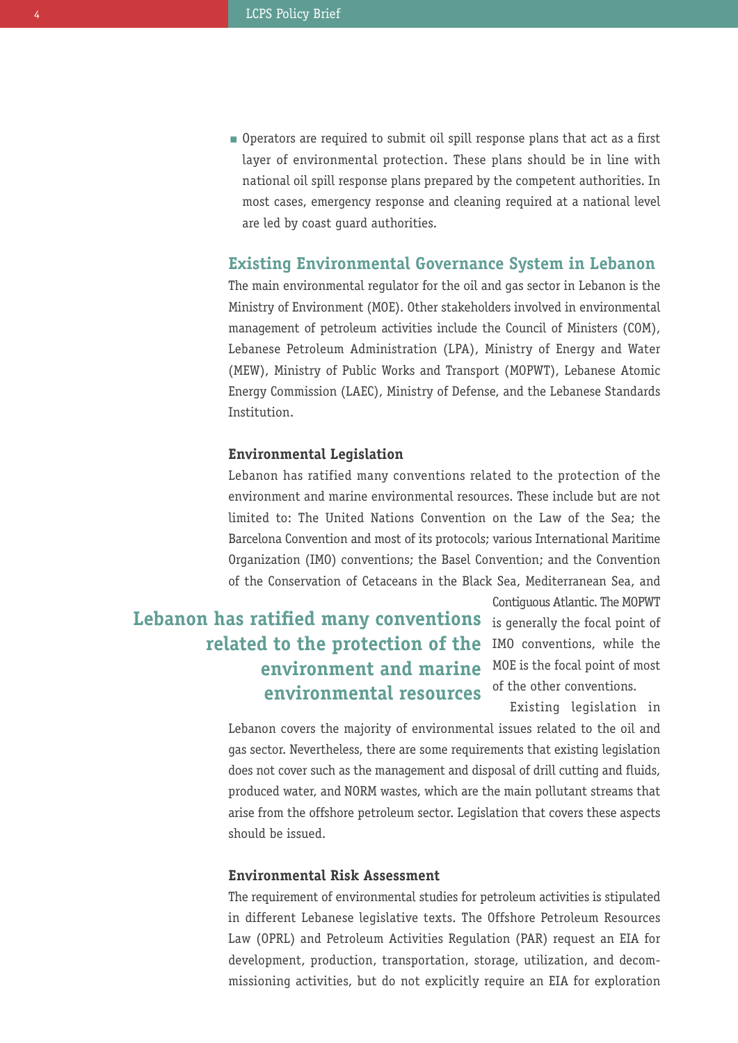**Operators are required to submit oil spill response plans that act as a first** layer of environmental protection. These plans should be in line with national oil spill response plans prepared by the competent authorities. In most cases, emergency response and cleaning required at a national level are led by coast guard authorities.

#### **Existing Environmental Governance System in Lebanon**

The main environmental regulator for the oil and gas sector in Lebanon is the Ministry of Environment (MOE). Other stakeholders involved in environmental management of petroleum activities include the Council of Ministers (COM), Lebanese Petroleum Administration (LPA), Ministry of Energy and Water (MEW), Ministry of Public Works and Transport (MOPWT), Lebanese Atomic Energy Commission (LAEC), Ministry of Defense, and the Lebanese Standards Institution.

#### **Environmental Legislation**

Lebanon has ratified many conventions related to the protection of the environment and marine environmental resources. These include but are not limited to: The United Nations Convention on the Law of the Sea; the Barcelona Convention and most of its protocols; various International Maritime Organization (IMO) conventions; the Basel Convention; and the Convention of the Conservation of Cetaceans in the Black Sea, Mediterranean Sea, and

## **Lebanon has ratified many conventions** is generally the focal point of  $r$ **elated to the protection of the** IMO conventions, while the MOE is the focal point of most **environment and marine environmental resources**

Contiguous Atlantic. The MOPWT of the other conventions.

Existing legislation in

Lebanon covers the majority of environmental issues related to the oil and gas sector. Nevertheless, there are some requirements that existing legislation does not cover such as the management and disposal of drill cutting and fluids, produced water, and NORM wastes, which are the main pollutant streams that arise from the offshore petroleum sector. Legislation that covers these aspects should be issued.

#### **Environmental Risk Assessment**

The requirement of environmental studies for petroleum activities is stipulated in different Lebanese legislative texts. The Offshore Petroleum Resources Law (OPRL) and Petroleum Activities Regulation (PAR) request an EIA for development, production, transportation, storage, utilization, and decommissioning activities, but do not explicitly require an EIA for exploration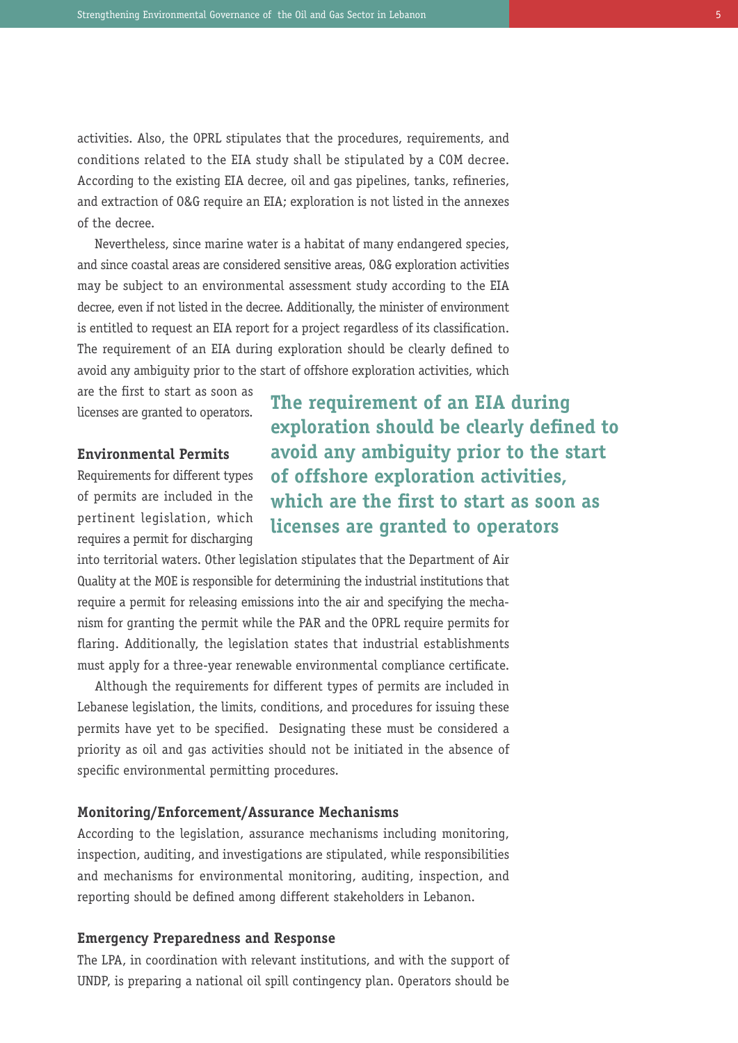activities. Also, the OPRL stipulates that the procedures, requirements, and conditions related to the EIA study shall be stipulated by a COM decree. According to the existing EIA decree, oil and gas pipelines, tanks, refineries, and extraction of O&G require an EIA; exploration is not listed in the annexes of the decree.

Nevertheless, since marine water is a habitat of many endangered species, and since coastal areas are considered sensitive areas, O&G exploration activities may be subject to an environmental assessment study according to the EIA decree, even if not listed in the decree. Additionally, the minister of environment is entitled to request an EIA report for a project regardless of its classification. The requirement of an EIA during exploration should be clearly defined to avoid any ambiguity prior to the start of offshore exploration activities, which

are the first to start as soon as licenses are granted to operators.

#### **Environmental Permits**

Requirements for different types of permits are included in the pertinent legislation, which requires a permit for discharging **The requirement of an EIA during exploration should be clearly defined to avoid any ambiguity prior to the start of offshore exploration activities, which are the first to start as soon as licenses are granted to operators**

into territorial waters. Other legislation stipulates that the Department of Air Quality at the MOE is responsible for determining the industrial institutions that require a permit for releasing emissions into the air and specifying the mechanism for granting the permit while the PAR and the OPRL require permits for flaring. Additionally, the legislation states that industrial establishments must apply for a three-year renewable environmental compliance certificate.

Although the requirements for different types of permits are included in Lebanese legislation, the limits, conditions, and procedures for issuing these permits have yet to be specified. Designating these must be considered a priority as oil and gas activities should not be initiated in the absence of specific environmental permitting procedures.

#### **Monitoring/Enforcement/Assurance Mechanisms**

According to the legislation, assurance mechanisms including monitoring, inspection, auditing, and investigations are stipulated, while responsibilities and mechanisms for environmental monitoring, auditing, inspection, and reporting should be defined among different stakeholders in Lebanon.

#### **Emergency Preparedness and Response**

The LPA, in coordination with relevant institutions, and with the support of UNDP, is preparing a national oil spill contingency plan. Operators should be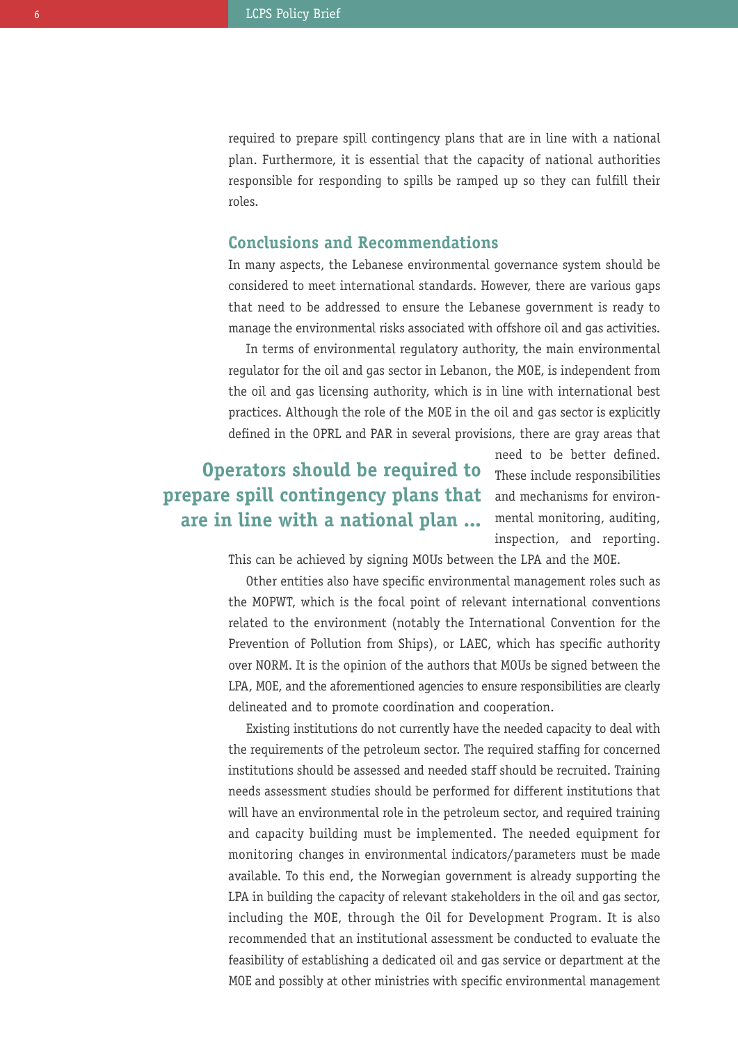required to prepare spill contingency plans that are in line with a national plan. Furthermore, it is essential that the capacity of national authorities responsible for responding to spills be ramped up so they can fulfill their roles.

#### **Conclusions and Recommendations**

In many aspects, the Lebanese environmental governance system should be considered to meet international standards. However, there are various gaps that need to be addressed to ensure the Lebanese government is ready to manage the environmental risks associated with offshore oil and gas activities.

In terms of environmental regulatory authority, the main environmental regulator for the oil and gas sector in Lebanon, the MOE, is independent from the oil and gas licensing authority, which is in line with international best practices. Although the role of the MOE in the oil and gas sector is explicitly defined in the OPRL and PAR in several provisions, there are gray areas that

## **Operators should be required to prepare spill contingency plans that are in line with a national plan ...**

need to be better defined. These include responsibilities and mechanisms for environmental monitoring, auditing, inspection, and reporting.

This can be achieved by signing MOUs between the LPA and the MOE.

Other entities also have specific environmental management roles such as the MOPWT, which is the focal point of relevant international conventions related to the environment (notably the International Convention for the Prevention of Pollution from Ships), or LAEC, which has specific authority over NORM. It is the opinion of the authors that MOUs be signed between the LPA, MOE, and the aforementioned agencies to ensure responsibilities are clearly delineated and to promote coordination and cooperation.

Existing institutions do not currently have the needed capacity to deal with the requirements of the petroleum sector. The required staffing for concerned institutions should be assessed and needed staff should be recruited. Training needs assessment studies should be performed for different institutions that will have an environmental role in the petroleum sector, and required training and capacity building must be implemented. The needed equipment for monitoring changes in environmental indicators/parameters must be made available. To this end, the Norwegian government is already supporting the LPA in building the capacity of relevant stakeholders in the oil and gas sector, including the MOE, through the Oil for Development Program. It is also recommended that an institutional assessment be conducted to evaluate the feasibility of establishing a dedicated oil and gas service or department at the MOE and possibly at other ministries with specific environmental management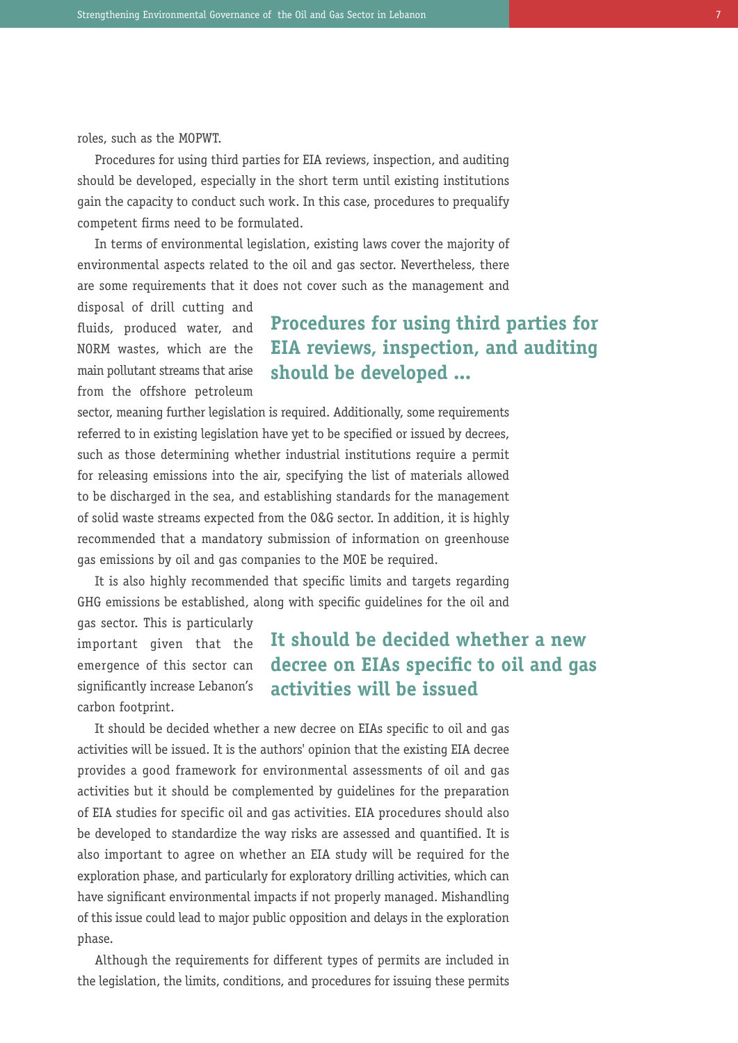roles, such as the MOPWT.

Procedures for using third parties for EIA reviews, inspection, and auditing should be developed, especially in the short term until existing institutions gain the capacity to conduct such work. In this case, procedures to prequalify competent firms need to be formulated.

In terms of environmental legislation, existing laws cover the majority of environmental aspects related to the oil and gas sector. Nevertheless, there are some requirements that it does not cover such as the management and

disposal of drill cutting and fluids, produced water, and NORM wastes, which are the main pollutant streams that arise from the offshore petroleum

## **Procedures for using third parties for EIA reviews, inspection, and auditing should be developed ...**

sector, meaning further legislation is required. Additionally, some requirements referred to in existing legislation have yet to be specified or issued by decrees, such as those determining whether industrial institutions require a permit for releasing emissions into the air, specifying the list of materials allowed to be discharged in the sea, and establishing standards for the management of solid waste streams expected from the O&G sector. In addition, it is highly recommended that a mandatory submission of information on greenhouse gas emissions by oil and gas companies to the MOE be required.

It is also highly recommended that specific limits and targets regarding GHG emissions be established, along with specific guidelines for the oil and

gas sector. This is particularly important given that the emergence of this sector can significantly increase Lebanon's carbon footprint.

## **It should be decided whether a new decree on EIAs specific to oil and gas activities will be issued**

It should be decided whether a new decree on EIAs specific to oil and gas activities will be issued. It is the authors' opinion that the existing EIA decree provides a good framework for environmental assessments of oil and gas activities but it should be complemented by guidelines for the preparation of EIA studies for specific oil and gas activities. EIA procedures should also be developed to standardize the way risks are assessed and quantified. It is also important to agree on whether an EIA study will be required for the exploration phase, and particularly for exploratory drilling activities, which can have significant environmental impacts if not properly managed. Mishandling of this issue could lead to major public opposition and delays in the exploration phase.

Although the requirements for different types of permits are included in the legislation, the limits, conditions, and procedures for issuing these permits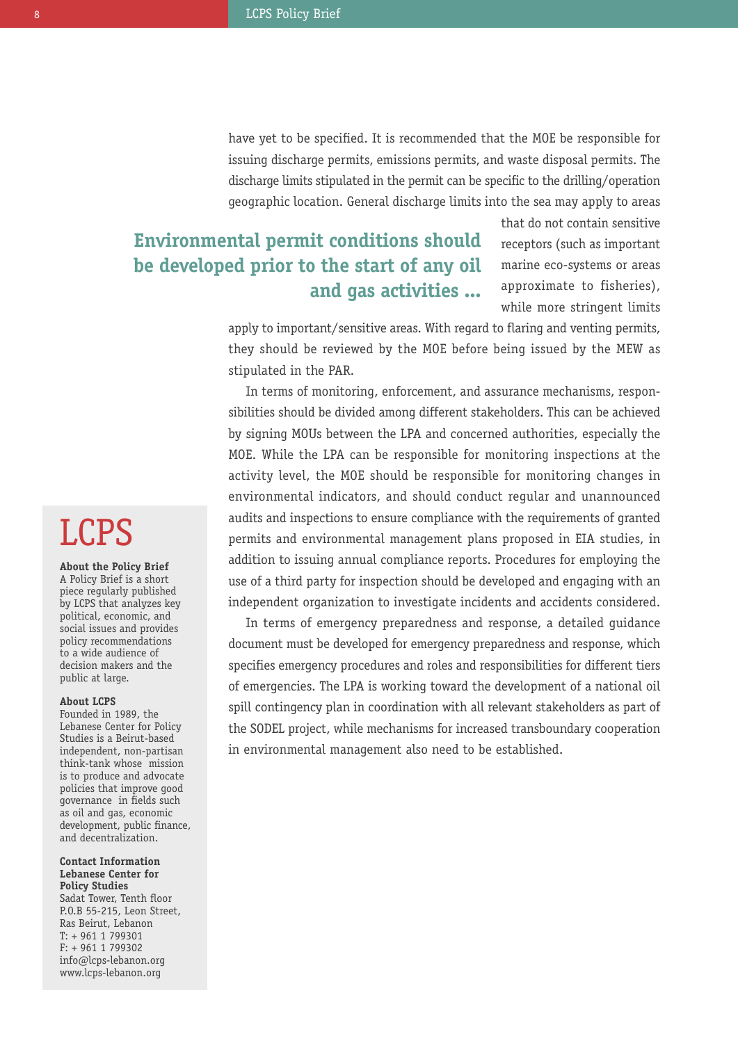have yet to be specified. It is recommended that the MOE be responsible for issuing discharge permits, emissions permits, and waste disposal permits. The discharge limits stipulated in the permit can be specific to the drilling/operation geographic location. General discharge limits into the sea may apply to areas

## **Environmental permit conditions should be developed prior to the start of any oil and gas activities ...**

that do not contain sensitive receptors (such as important marine eco-systems or areas approximate to fisheries), while more stringent limits

apply to important/sensitive areas. With regard to flaring and venting permits, they should be reviewed by the MOE before being issued by the MEW as stipulated in the PAR.

In terms of monitoring, enforcement, and assurance mechanisms, responsibilities should be divided among different stakeholders. This can be achieved by signing MOUs between the LPA and concerned authorities, especially the MOE. While the LPA can be responsible for monitoring inspections at the activity level, the MOE should be responsible for monitoring changes in environmental indicators, and should conduct regular and unannounced audits and inspections to ensure compliance with the requirements of granted permits and environmental management plans proposed in EIA studies, in addition to issuing annual compliance reports. Procedures for employing the use of a third party for inspection should be developed and engaging with an independent organization to investigate incidents and accidents considered.

In terms of emergency preparedness and response, a detailed guidance document must be developed for emergency preparedness and response, which specifies emergency procedures and roles and responsibilities for different tiers of emergencies. The LPA is working toward the development of a national oil spill contingency plan in coordination with all relevant stakeholders as part of the SODEL project, while mechanisms for increased transboundary cooperation in environmental management also need to be established.

## LCPS

**About the Policy Brief** A Policy Brief is a short piece regularly published by LCPS that analyzes key political, economic, and social issues and provides policy recommendations to a wide audience of decision makers and the public at large.

#### **About LCPS**

Founded in 1989, the Lebanese Center for Policy Studies is a Beirut-based independent, non-partisan think-tank whose mission is to produce and advocate policies that improve good governance in fields such as oil and gas, economic development, public finance, and decentralization.

#### **Contact Information Lebanese Center for Policy Studies**

Sadat Tower, Tenth floor P.O.B 55-215, Leon Street, Ras Beirut, Lebanon T: + 961 1 799301 F: + 961 1 799302 info@lcps-lebanon.org www.lcps-lebanon.org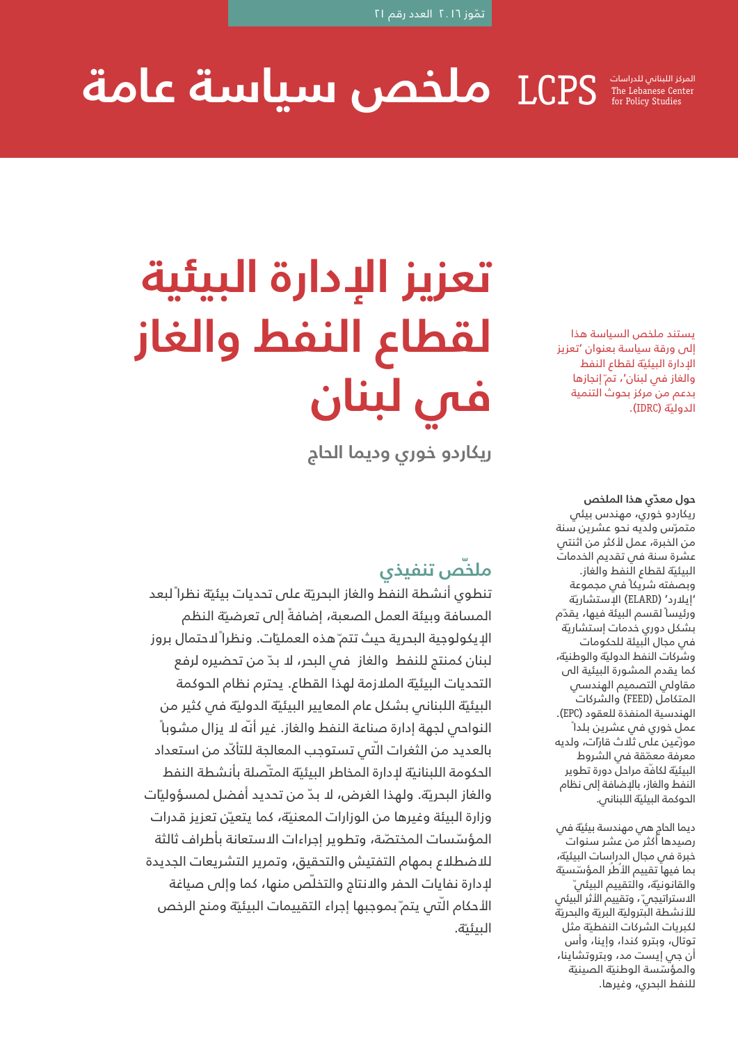#### المركز اللبناني للدراسات LCPS **ملخص سياسة عامة** The Lebanese Center for Policy Studies

يستند ملخص السياسة هذا إلى ورقة سياسة بعنوان 'تعزيز الددارة البيئية لقطاع النفط والغاز في لبنان'، تم ّإنجازها بدعم من مركز بحوث التنمية الدوليّة (IDRC).

**حول معّدي هذا الملخص** ريكاردو خوري، مهندس بيئي متمّرس ولديه نحو عشرين سنة من الخبرة، عمل لأكثر من اثنتي عشرة سنة في تقديم الخدمات البيئية لقطاع النفط والغاز. وبصفته شريكاً في مجموعة ّة 'إيلارد' )ELARD )الإستشاري ورئيساً لقسم البيئة فيها، يقّدم بشكل دوري خدمات إستشاريّة في مجال البيئة للحكومات وشّركات النفط الدوليّة والوطنيّة، كما يقدم المشورة البيئية الى مقاولي التصميم الهندسي المتكامل )FEED )والشركات الهندسية المنفذة للعقود )EPC). عمل خوري في عشرين بلداً موزّعين على ثلاث قارّات، ولديه معرفة معمّقة في الشروط البيئية لكافة مراحل دورة تطوير النفط والغاز، بالإضافة إلى نظام الحوكمة البيئية اللبنانس.

ديما الحاج هي مهندسة بيئّية في رصيدها أكثر من عشر سنوات خبرة في مجال الدراسات البيئّية، بما فيها تقييم الأطر المؤسّسيّة والقانونية، والتقييم البيئى ّ الاستراتيجي ّ، وتقييم الأثر الّبيئي للأنشطة البترولية البريّة والبحريّة لكبريات الشركات النفطية مثل توتال، وبترو كندا، وإينا، وأس أن جي إيست مد، وبتروتشاينا، والمؤسّسة الوطنيّة الصينيّة للنفط البحري، وغيرها.

# **تعزيز الإدارة البيئية لقطاع النفط والغاز في لبنان**

**ريكاردو خوري وديما الحاج**

## **ّص تنفيذي ملخ**

تنطوى أنشطة النفط والغاز البحريّة على تحديات بيئيّة نظرا ًلبعد المسافة وبيئة العمل الصعبة، إضافةً إلى تعرضيّة النظم الإيكولوجية البحرية حيث تتم ّهذه العمليّات. ونظراً لاحتمال بروز لبنان كمنتج للنفط والغاز في البحر، لا بّد من تحضيره لرفع التحديات البيئيّة الملازمة لهذا القطاع. يحترم نظام الحوكمة البيئيّة اللبناني بشكل عام المعايير البيئيّة الدوليّة في كثير من النواحي لجهة إدارة صناعة النفط والغاز. غير أّنه لا يزال مشوباً بالعديد من الثغرات الّتى تستوجب المعالجة للتأكّد من استعداد الحكومة اللبنانية لإدارة المخاطر البيئية المتّصلة بأنشطة النفط والغاز البحرّية. ولهذا الغرض، لا بّد من تحديد أفضل لمسؤولّيات وزارة البيئة وغيرها من الوزارات المعني*ة،* كما يتعيّن تعزيز قدرات المؤسّسات المختصّة، وتطوير إجراءات الاستعانة بأطراف ثالثة للاضطلاع بمهام التفتيش والتحقيق، وتمرير التشريعات الجديدة لإدارة نفايات الحفر والانتاج والتخّلص منها، كما وإلى صياغة الأحكام التّى يتم ّبموجبها إجراء التقييمات البيئية ومنح الرخص البيئية.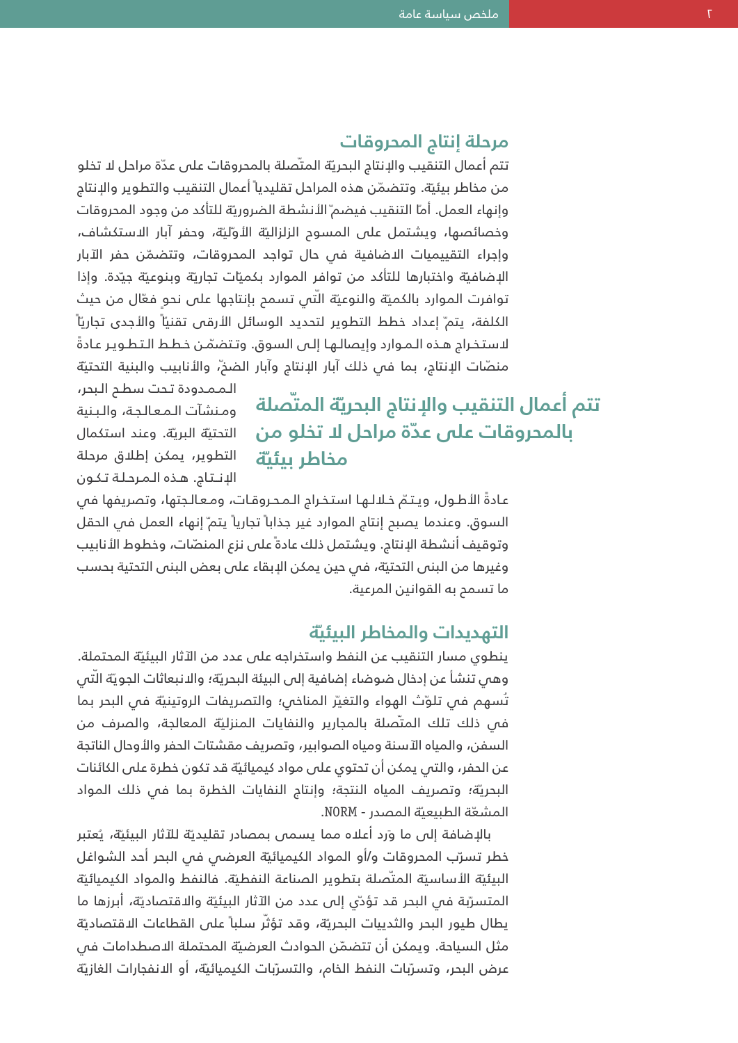#### **مرحلة إنتاج المحروقات**

تتم أعمال التنقيب والإنتاج البحريّة المتّصلة بالمحروقات على عدّة مراحل لا تخلو من مخاطر بيئيّة. وتتضمّن هذه المراحل تقليدياً اعمال التنقيب والتطوير والإنتاج وإنهاء العمل. أمّا التنقيب فيضم ّالأنشطة الضروريّة للتأكد من وجود المحروقات وخصائصها، ويشتمل على المسوح الزلزاليّة الأوّليّة، وحفر ابار الاستكشاف، وإجراء التقييميات الاضافية في حال تواجد المحروقات، وتتضّمن حفر الآبار الإضافية واختبارها للتأكد من توافر الموارد بكميات تجاريّة وبنوعيّة جيّدة. وإذا توافرت الموارد بالكميّة والنوعيّة الّتي تسمح بإنتاجها على نحو فعّال من حيث الكلفة، يتم ّ إعداد خطط التطوير لتحديد الوسائل الأرقى تقنيّاً والأجدى تجاريّاً لاستخراج هـذه الـمـوارد وإيصالـها إلـى السوق. وتـتضمّن خـطـط الـتـطـويـر عـادةً منصّات الإنتاج، بما في ذلك ابار الإنتاج وابار الضخ،ّ والأنابيب والبنية التحتيّة

## **المّتصلة ّة تتم أعمال التنقيب والإنتاج البحري بالمحروقات على ع ّدة مراحل لا تخلو من مخاطر بيئّية**

الـمـمـدودة تـحت سطـح الـبحر، ومنشآت المعالجة، والبنية التحتية البريّة. وعند استكمال التطوير، يمكن إطلاق مرحلة الإنتاج. هذه المرحلة تكون

عادةً الأطـول، ويتـمّ خـلالـهـا استخـراج الـمـحـروقـات، ومـعـالـجتها، وتصريفها فـص السوق. وعندما يصبح إنتاج الموارد غير جذاباً تجارياً يتم ّ إنهاء العمل فس الحقل وتوقيف أنشطة الإنتاج. ويشتمل ذلك عادةً على نزع المنصّات، وخطوط الأنابيب وغيرها من البنى التحتّية، في حين يمكن الإبقاء على بعض البنى التحتية بحسب ما تسمح به القوانين المرعية.

### **ّة التهديدات والمخاطر البيئي**

ينطوي مسار التنقيب عن النفط واستخراجه على عدد من الآثار البيئّية المحتملة. وهي تنشأ عن إدخال ضوضاء إضافية إلى البيئة البحريّة؛ وال*ا*نبعاثات الجويّة الّتي تُسهم في تلوّث الهواء والتغيّر المناخي؛ والتصريفات الروتينيّة في البحر بما في ذلك تلك المتّصلة بالمجارير والنفايات المنزليّة المعالجة، والصرف من السفن، والمياه الآسنة ومياه الصوابير، وتصريف مقشتات الحفر والأوحال الناتجة عن الحفر، والتي يمكن أن تحتوي على مواد كيميائّية قد تكون خطرة على الكائنات البحرية؛ وتصريف المياه النتجة؛ وإنتاج النفايات الخطرة بما فس ذلك المواد المشعّة الطبيعيّة المصدر - NORM.

بالإضافة إلى ما وَرد أعلاه مما يسمى بمصادر تقليديّة للآثار البيئيّة، يُعتبر خطر تسرّب المحروقات و/او المواد الكيميائيّة العرضمي فمي البحر احد الشواغل البيئيّة الأساسيّة المتّصلة بتطوير الصناعة النفطيّة. فالنفط والمواد الكيميائيّة المتسرّبة فـ البحر قد تؤدّي إلى عدد من الآثار البيئيّة والاقتصاديّة، أبرزها ما يطال طيور البحر والثدييات البحريّة، وقد تؤثّر سلباً على القطاعات الاقتصاديّة مثل السياحة. ويمكن أن تتضّمن الحوادث العرضّية المحتملة الاصطدامات في عرض البحر، وتسرّبات النفط الخام، والتسرّبات الكيميائيّة، او الانفجارات الغازيّة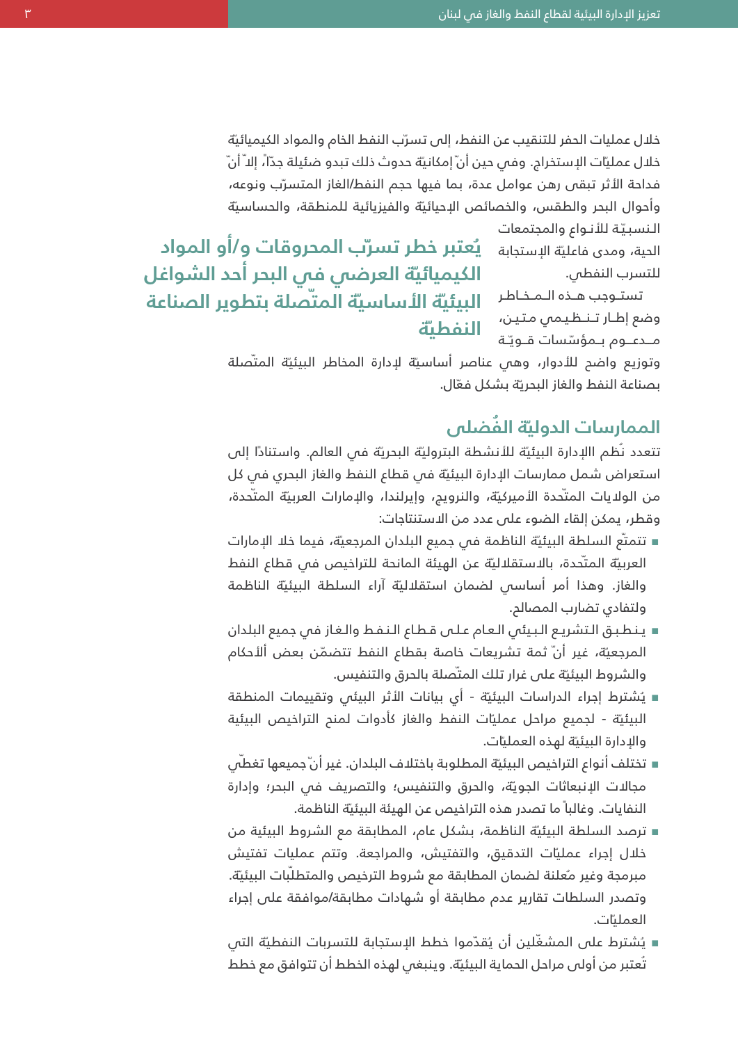خلال عمليات الحفر للتنقيب عن النفط، إلى تسرّب النفط الخام والمواد الكيميائيّة خلال عمليّات الإستخراج. وفي حين انّ إمكانيّة حدوث ذلك تبدو ضئيلة جدّاً، إلا ّانْ فداحة الأثر تبقى رهن عوامل عدة، بما فيها حجم النفط/الغاز المتسّرب ونوعه، وأحوال البحر والطقس، والخصائص الإحيائّية والفيزيائية للمنطقة، والحساسّية

> النسبيّة للأنواع والمجتمعات للتسرب النفطي.

وضع إطـار تــنـظـيـمي مـتـيـن،<br>مــدي ومــيـمؤسّسات قــويـّـة **الـنـفـطـيّة** مــدعــوم بـمؤسّسات قــويّـة

النسبيّة للأنـواع والمجتمعات<br>الحية، ومدى فاعليّة الإستجابة ي**ُعتبر خطر تسرّب المحروقات وِ/أو <b>المواد** تستوجب هـذه الـمـخـاطر **البيئية الأساسية المتّصلة بتطوير الصناعة العرضي في البحر أحد الشواغل ّة الكيميائي**

> وتوزيع واضح للأدوار، وهي عناصر أساسيّة لإدارة المخاطر البيئيّة المتّصلة بصناعة النفط والغاز البحريّة بشكل فعّال.

#### **الُفضلى ّة الممارسات الدولي**

تتعدد نُظم االإدارة البيئيّة للأنشطة البتروليّة البحريّة فس العالم. واستنادًا إلى استعراض شمل ممارسات الإدارة البيئية فس قطاع النفط والغاز البحري فس كل من الولايات المتّحدة الأميركيّة، والنرويج، وإيرلندا، والإمارات العربيّة المتّحدة، وقطر، يمكن إلقاء الضوء على عدد من الاستنتاجات:

- تتمتّع السلطة البيئيّة الناظمة في جميع البلدان المرجعيّة، فيما خلا الإمارات العربيّة المتّحدة، بالاستقلاليّة عن الهيئة المانحة للتراخيص فى قطاع النفط والغاز. وهذا أمر أساسي لضمان استقلالّية آراء السلطة البيئّية الناظمة ولتفادي تضارب المصالح.
- ينطبق التشريع البيئى العام على قطاع النفط والغاز فى جميع البلدان المرجعيّة، غير أنّ ثمة تشريعات خاصة بقطاع النفط تتضمّن بعض ألأحكام والشروط البيئّية على غرار تلك المّتصلة بالحرق والتنفيس.
- يُشترط إجراء الدراسات البيئيّة اي بيانات الأثر البيئي وتقييمات المنطقة البيئيّة - لجميع مراحل عمليّات النفط والغاز كأدوات لمنح التراخيص البيئية والإدارة البيئية لهذه العمليات.
- تختلف أنواع التراخيص البيئية المطلوبة باختلاف البلدان. غير أنّ جميعها تغطّي مجالات الإنبعاثات الجوّية، والحرق والتنفيس؛ والتصريف في البحر؛ وإدارة النفايات. وغالباً ما تصدر هذه التراخيص عن الهيئة البيئيّة الناظمة.
- ترصد السلطة البيئيّة الناظمة، بشكل عام، المطابقة مع الشروط البيئية من خلال إجراء عملّيات التدقيق، والتفتيش، والمراجعة. وتتم عمليات تفتيش مبرمجة وغير مُعلنة لضمان المطابقة مع شروط الترخيص والمتطلّبات البيئيّة. وتصدر السلطات تقارير عدم مطابقة أو شهادات مطابقة/موافقة على إجراء ات. ّ العملي
- يُشترط على المشغّلين أن يُقدّموا خطط الإستجابة للتسربات النفطيّة التي تُعتبر من أولى مراحل الحماية البيئية. وينبغى لهذه الخطط أن تتوافق مع خطط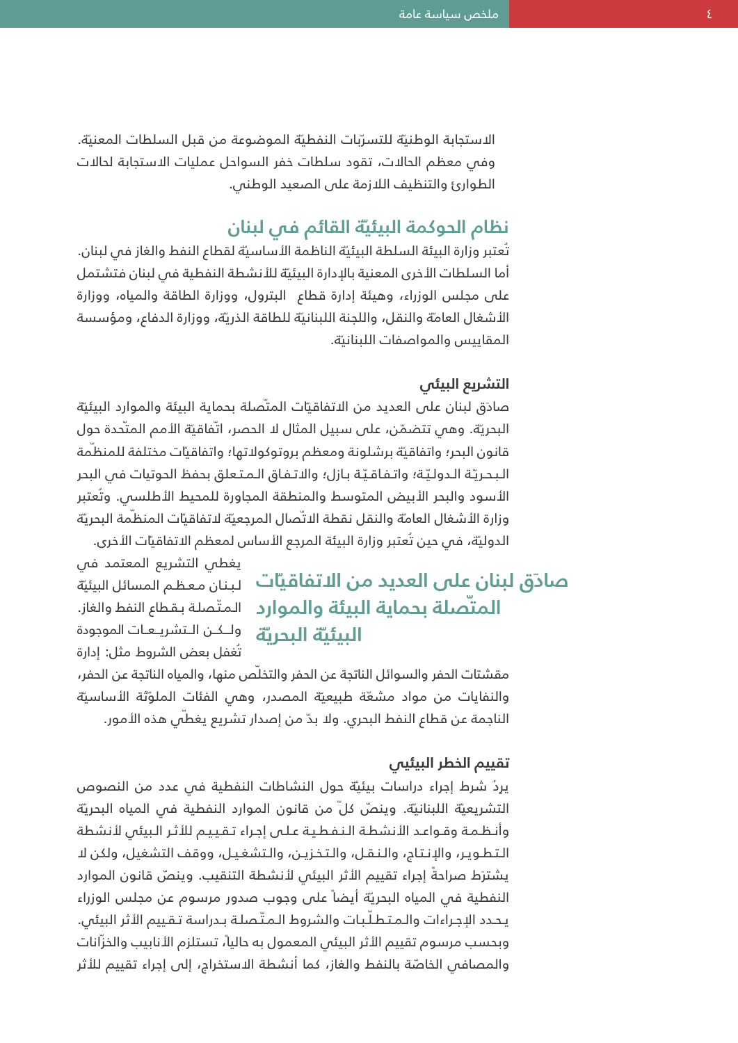الاستجابة الوطنيّة للتسرّبات النفطيّة الموضوعة من قبل السلطات المعنيّة. وفي معظم الحالات، تقود سلطات خفر السواحل عمليات الاستجابة لحالات الطوارئ والتنظيف اللازمة على الصعيد الوطني.

## **ّة القائم في لبنان نظام الحوكمة البيئي**

تُعتبر وزارة البيئة السلطة البيئيّة الناظمة الأساسيّة لقطاع النفط والغاز فس لبنان. أما السلطات الأخرى المعنية بالإدارة البيئية للأنشطة النفطية فى لبنان فتشتمل على مجلس الوزراء، وهيئة إدارة قطاع البترول، ووزارة الطاقة والمياه، ووزارة الأشغال العامة والنقل، واللجنة اللبنانية للطاقة الذريّة، ووزارة الدفاع، ومؤسسة المقاييس والمواصفات اللبنانية.

#### **التشريع البيئي**

صادَق لبنان على العديد من الاتفاقيّات المتّصلة بحماية البيئة والموارد البيئيّة البحريّة. وهـ تتضمّن، على سبيل المثال لا الحصر، اتّفاقيّة الأمم المتّحدة حول قانون البحر؛ واتفاقيّة برشلونة ومعظم بروتوكولاتها؛ واتفاقيّات مختلفة للمنظمة الأسود والبحر الأبيض المتوسط والمنطقة المجاورة للمحيط الأطلسي. وُتعتبر-البحريّة الـدوليّة؛ واتـفـاقـيّـة بـازل؛ والاتـفـاق الـمـتـعلق بحفظ الحوتيات فـص البحر وزارة الأشغال العامة والنقل نقطة الاتّصال المرجعيّة لاتفاقيّات المنظّمة البحريّة الدوليّة، فس حين تُعتبر وزارة البيئة المرجع الأساس لمعظم الاتفاقيّات الأخرى.

## <mark>صادق لبنان على العديد من الاتفاقياّت</mark> لبنان معظم المسائل البيئيّة **المّتصلة بحماية البيئة والموارد ّة البحري ّة البيئي**

يغطي التشريع المعتمد في المتّصلة بـقطاع النفط والغاز. ولــكـن الـتشريـعـات الموجودة ُتغفل بعض الشروط مثل: إدارة

مقشتات الحفر والسوائل الناتجة عن الحفر والتخّلص منها، والمياه الناتجة عن الحفر، والنفايات من مواد مشّعة طبيعّية المصدر، وهي الفئات الملّوثة الأساسّية الناجمة عن قطاع النفط البحري. ولا بدّ من إصدار تشريع يغطَّى هذه الأمور.

#### **تقييم الخطر البيئيي**

يِرُد شرط إجراء دراسات بيئّية حول النشاطات النفطية في عدد من النصوص التشريعيّة اللبنانيّة. وينصّ كلّ من قانون الموارد النفطية في المياه البحريّة وأنظمة وقـواعـد الأنشطة الـنـفطيـة عـلـى إجـراء تـقـيـيم للأثـر الـبيئى لأنشطة التطوير، والإنتاج، والنقل، والتخزين، والتشغيل، ووقف التشغيل، ولكن لا يشترَط صراحةً إجراء تقييم الأثر البيئى لأنشطة التنقيب. وينصّ قانون الموارد النفطية فى المياه البحريّة أيضاً على وجوب صدور مرسوم عن مجلس الوزراء يحدد الإجراءات والـمتطلّـبات والشروط الـمتّصلـة بـدراسة تـقـييم الأثر البيئي. وبحسب مرسوم تقييم الأثر البيئي المعمول به حاليا،ً تستلزم الأنابيب والخّزانات والمصافس الخاصّة بالنفط والغاز، كما أنشطة الاستخراج، إلى إجراء تقييم للأثر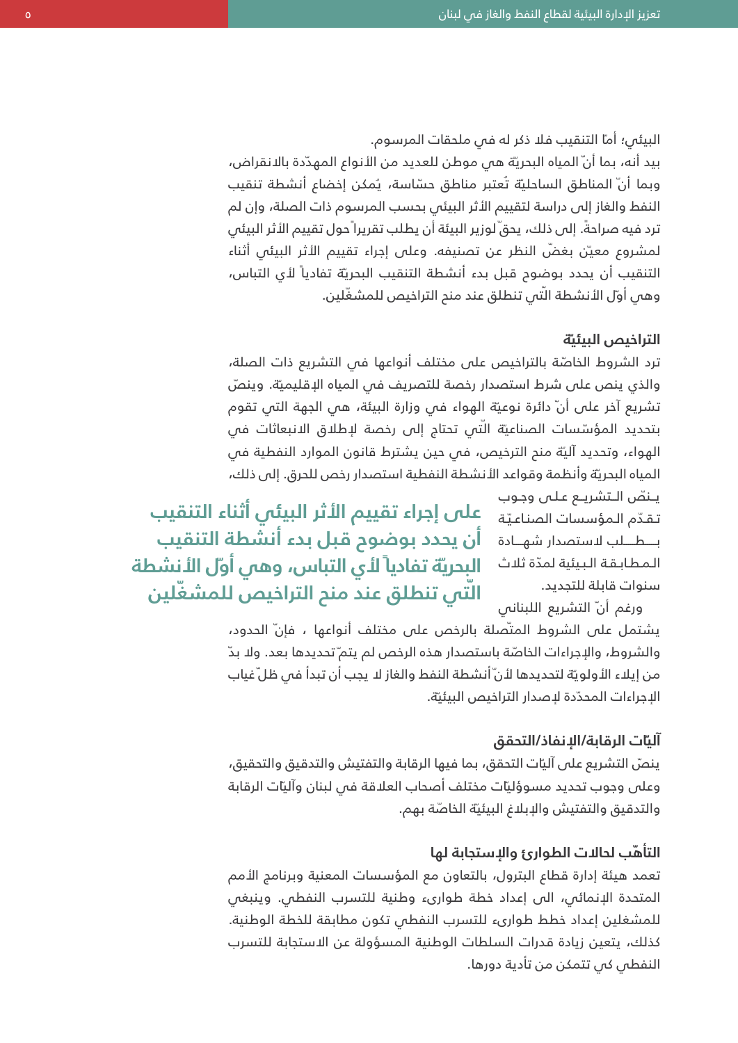#### البيئى؛ أماّ التنقيب فلا ذكر له في ملحقات المرسوم.

بيد أنه، بما أنّ المياه البحريّة هى موطن للعديد من الأنواع المهدّدة بالانقراض، وبما أنّ المناطق الساحليّة تُعتبر مناطق حسّاسة، يُمكن إخضاع أنشطة تنقيب النفط والغاز إلى دراسة لتقييم الأثر البيئي بحسب المرسوم ذات الصلة، وإن لم ترد فيه صراحةً. إلى ذلك، يحقّ لوزير البيئة أن يطلب تقريرا ًحول تقييم الأثر البيئى لمشروع معيّن بغضّ النظر عن تصنيفه. وعلى إجراء تقييم الأثر البيئي أثناء التنقيب أن يحدد بوضوم قبل بدء أنشطة التنقيب البحريّة تفادياً لأى التباس، وهي أوّل الأنشطة الّتي تنطلق عند منح التراخيص للمشغّلين.

#### **ّة التراخيص البيئي**

ترد الشروط الخاصّة بالتراخيص على مختلف أنواعها في التشريع ذات الصلة، والذي ينص على شرط استصدار رخصة للتصريف في المياه الإقليميّة. وينصّ تشريع آخر على أنّ دائرة نوعيّة الهواء فى وزارة البيئة، هى الجهة التى تقوم بتحديد المؤسّسات الصناعيّة الّتى تحتاج إلى رخصة لإطلاق الانبعاثات فى الهواء، وتحديد آليّة منح الترخيص، في حين يشترط قانون الموارد النفطية في المياه البحريّة وأنظمة وقواعد الأنشطة النفطية استصدار رخص للحرق. إلى ذلك،

> يـنصّ الـتشريـع عـلـى وجـوب سنوات قابلة للتجديد.

ورغم انّ التشريع اللبناني

ب-----ط-----لب لاستصدار شه----ادة-**أن يحدد بوضوح قبل بدء أنشطة التنقيب** ة ّ ت-قّ-دم ال-مؤسسات الصن-اع-ي **على إجراء تقييم الأثر البيئي أثناء التنقيب** المطابقة البيئية لمدّة ثلاث **البحريّة تفادياً لأي التباس، وهي اوّل الأنشطة التراخيص للمشّغلين ّتي تنطلق عند منح ال**

> يشتمل على الشروط المتّصلة بالرخص على مختلف أنواعها ، فإنّ الحدود، والشروط، والإجراءات الخاصّة باستصدار هذه الرخص لم يتم ّتحديدها بعد. ولا بدّ من إيلاء الأولويّة لتحديدها لأنّ أنشطة النفط والغاز لا يجب أن تبدأ فس ظلّ غياب الإجراءات المحدّدة لإصدار التراخيص البيئيّة.

#### **ات الرقابة/الإنفاذ/التحقق ّ آلي**

ينصّ التشريع على آليّات التحقق، بما فيها الرقابة والتفتيش والتدقيق والتحقيق، وعلى وجوب تحديد مسوؤليّات مختلف اصحاب العلاقة في لبنان واليّات الرقابة والتدقيق والتفتيش والإبلاغ البيئيّة الخاصّة بهم.

#### **التأ ّهب لحالات الطوارئ والإستجابة لها**

تعمد هيئة إدارة قطاع البترول، بالتعاون مع المؤسسات المعنية وبرنامج الأمم المتحدة الإنمائي، الى إعداد خطة طوارىء وطنية للتسرب النفطي. وينبغي للمشغلين إعداد خطط طوارىء للتسرب النفطي تكون مطابقة للخطة الوطنية. كذلك، يتعين زيادة قدرات السلطات الوطنية المسؤولة عن الاستجابة للتسرب النفطي كي تتمكن من تأدية دورها.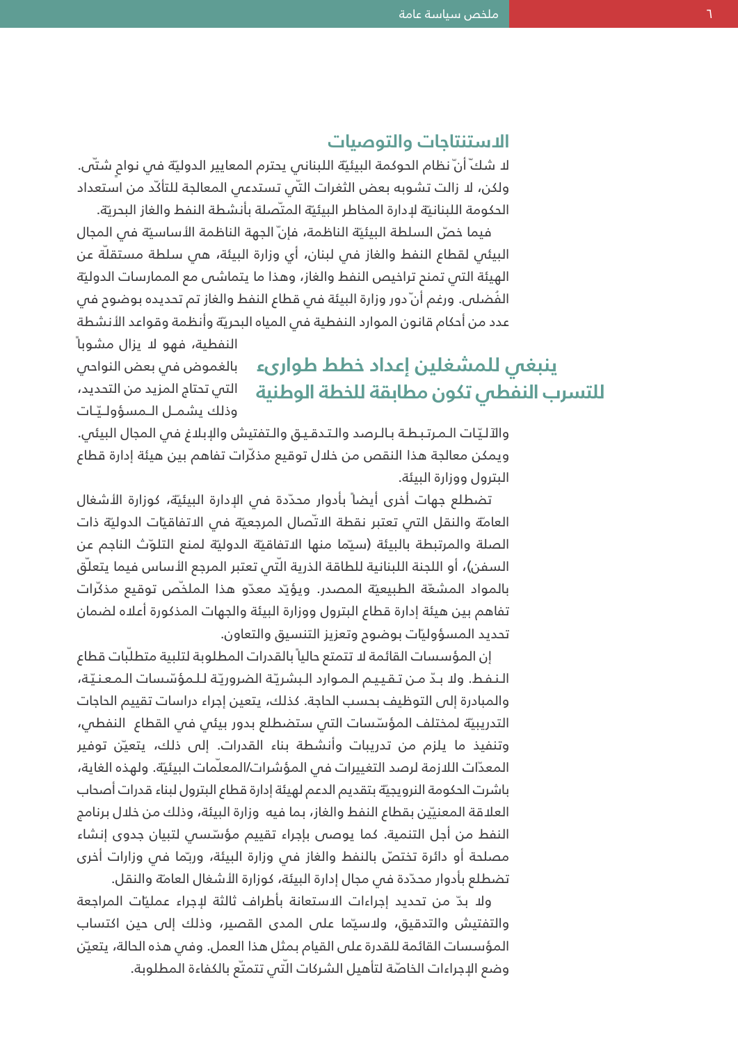#### **الاستنتاجات والتوصيات**

لا شك ّأن ّنظام الحوكمة البيئيّة اللبناني يحترم المعايير الدوليّة في نواح شتّى. ولكن، لا زالت تشوبه بعض الثغرات الّتي تستدعي المعالجة للتأّكد من استعداد الحكومة اللبنانية لددارة المخاطر البيئية المتّصلة بأنشطة النفط والغاز البحريّة.

فيما خصّ السلطة البيئيّة الناظمة، فإنّ الجهة الناظمة الأساسيّة في المجال البيئي لقطاع النفط والغاز في لبنان، أي وزارة البيئة، هي سلطة مستقلّة عن ّة الهيئة التي تمنح تراخيص النفط والغاز، وهذا ما يتماشى مع الممارسات الدولي الفُضلـ، ورغم أنّ دور وزارة البيئة فـ قطاع النفط والغاز تم تحديده بوضوم فـ، عدد من أحكام قانون الموارد النفطية في المياه البحرّية وأنظمة وقواعد الأنشطة

النفطية، فهو لا يزال مشوباً بالغموض في بعض النواحي التي تحتاج المزيد من التحديد، وذلك يشمـل الـمسؤولـيّـات

**ينبغي للمشغلين إعداد خطط طوارىء للتسرب النفطي تكون مطابقة للخطة الوطنية**

والآليّات الـمـرتـبـطـة بـالـرصد والـتـدقـيـق والـتفتيش والإبلاغ فـص المجال البيئي. ويمكن معالجة هذا النقص من خلال توقيع مذّكرات تفاهم بين هيئة إدارة قطاع البترول ووزارة البيئة.

تضطلع جهات أخرى أيضاً بأدوار محدّدة فى الإدارة البيئية، كوزارة الأشغال العامة والنقل التبي تعتبر نقطة الاتّصال المرجعيّة في الاتفاقيات الدوليّة ذات الصلة والمرتبطة بالبيئة (سيّما منها الاتفاقيّة الدوليّة لمنع التلوّث الناجم عن السفن)، أو اللجنة اللبنانية للطاقة الذرية الَّتي تعتبر المرجع الأساس فيما يتعلَّق بالمواد المشعّة الطبيعيّة المصدر. ويؤيّد معدّو هذا الملخّص توقيع مذكّرات تفاهم بين هيئة إدارة قطاع البترول ووزارة البيئة والجهات المذكورة أعلاه لضمان تحديد المسؤوليّات بوضوم وتعزيز التنسيق والتعاون.

إن المؤسسات القائمة لا تتمتع حالياً بالقدرات المطلوبة لتلبية متطلّبات قطاء والمبادرة إلى التوظيف بحسب الحاجة. كذلك، يتعين إجراء دراسات تقييم الحاجات-النفط. ولا بدّ من تقييم الموارد البشريّة الضروريّة للمؤسّسات المعنيّة، التدريبيّة لمختلف المؤسّسات التي ستضطلع بدور بيئي في القطاع النفطي، وتنفيذ ما يلزم من تدريبات وأنشطة بناء القدرات. إلى ذلك، يتعّين توفير المعدّات اللازمة لرصد التغييرات فى المؤشرات/المعلّمات البيئيّة. ولهذه الغاية، باشرت الحكومة النرويجيّة بتقديم الدعم لهيئة إدارة قطاع البترول لبناء قدرات أصحاب العلاقة المعنيّين بقطاع النفط والغاز، بما فيه وزارة البيئة، وذلك من خلال برنامج النفط من أجل التنمية. كما يوصص بإجراء تقييم مؤسّسص لتبيان جدوى إنشاء مصلحة أو دائرة تختصّ بالنفط والغاز فى وزارة البيئة، وربّما فى وزارات أخرى تضطلع بأدوار محدّدة في مجال إدارة البيئة، كوزارة الأشغال العامة والنقل.

ولا بّد من تحديد إجراءات الاستعانة بأطراف ثالثة لإجراء عملّيات المراجعة والتفتيش والتدقيق، ولاسّيما على المدى القصير، وذلك إلى حين اكتساب ّن المؤسسات القائمة للقدرة على القيام بمثل هذا العمل. وفي هذه الحالة، يتعي وضع الإجراءات الخاصّة لتأهيل الشركات الّتي تتمتّع بالكفاءة المطلوبة.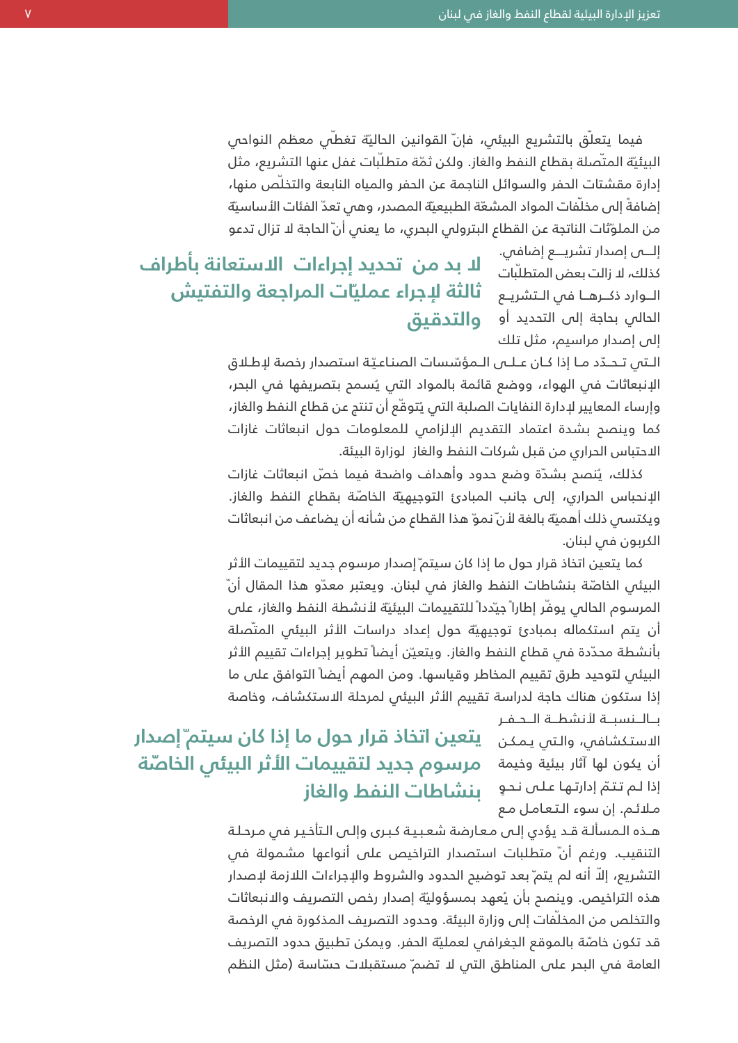فيما يتعلّق بالتشريع البيئي، فإنّ القوانين الحاليّة تغطـّي معظم النواحي البيئيّة المتّصلة بقطاع النفط والغاز. ولكن ثمّة متطلّبات غفل عنها التشريع، مثل إدارة مقشتات الحفر والسوائل الناجمة عن الحفر والمياه النابعة والتخلّص منها، إضافةً إلى مخلّفات المواد المشعّة الطبيعيّة المصدر، وهى تعدّ الفئات الأساسيّة من الملوّثات الناتجة عن القطاع البترولى البحري، ما يعنى أنّ الحاجة لا تزال تدعو

> إل----ى إصدار تشري----ع إضافي. كذلك، لد زالت بعض المتطلّبات الحالي بحاجة إلى التحديد أو **والتدقيق** إلى إصدار مراسيم، مثل تلك

الـوارد ذكـرهـا في الـتشريـع **ثالثة لإجراء عمليّات المراجعة والتفتيش لا بد من تحديد إجراءات الاستعانة بأطراف**

> الإنبعاثات في الهواء، ووضع قائمة بالمواد التي يُسمح بتصريفها في البحر، الـتى تـحـدّد مـا إذا كـان عـلـى الـمؤسّسات الصناعيّـة استصدار رخصة لإطـلاق وإرساء المعايير لإدارة النفايات الصلبة التي ُيتو ّقع أن تنتج عن قطاع النفط والغاز، كما وينصح بشدة اعتماد التقديم الإلزامي للمعلومات حول انبعاثات غازات الاحتباس الحراري من قبل شركات النفط والغاز لوزارة البيئة.

> كذلك، يُنصح بشدّة وضع حدود وأهداف واضحة فيما خصّ انبعاثات غازات الإنحباس الحراري، إلى جانب المبادئ التوجيهيّة الخاصّة بقطاع النفط والغاز. ويكتسمي ذلك اهميّة بالغة لأنّ نموّ هذا القطاع من شانه ان يضاعف من انبعاثات الكربون في لبنان.

> كما يتعين اتخاذ قرار حول ما إذا كان سيتم ّإصدار مرسوم جديد لتقييمات الأثر البيئي الخاصّة بنشاطات النفط والغاز في لبنان. ويعتبر معدّو هذا المقال أنّ المرسوم الحالس يوفّر إطاراً جيّدداً للتقييمات البيئيّة لأنشطة النفط والغاز، على ان يتم استكماله بمبادئ توجيهيّة حول إعداد دراسات الأثر البيئي المتّصلة بأنشطة محدّدة فس قطاع النفط والغاز. ويتعيّن أيضاً تطوير إجراءات تقييم الأثر البيئي لتوحيد طرق تقييم المخاطر وقياسها. ومن المهم أيضاً التوافق على ما إذا ستكون هناك حاجة لدراسة تقييم الأثر البيئي لمرحلة الاستكشاف، وخاصة

> > بـالــنسبــة لأنشطــة الــحـفـر مـلائـم. إن سوء الـتعامـل مـع

## الاستكشافي، والتي يمكن **يتعين اتخاذ قرار حول ما إذا كان سيتم ّإصدار** أن يكون لها آثار بيئية وخيمة **مرسوم جديد لتقييمات الأثر البيئي الخا ّصة** إذا لـم تـتمّ إدارتـها عـلـى نـحـو — **بنشاطات النفط والغاز**

هـذه الـمسألـة قـد يؤدى إلـى مـعارضة شعبيـة كبـرى وإلـى الـتأخيـر فـى مـرحـلـة التنقيب. ورغم ان ّ متطلبات استصدار التراخيص على انواعها مشمولة في التشريع، إلاّ أنه لم يتم ّبعد توضيح الحدود والشروط والإجراءات اللازمة لإصدار هذه التراخيص. وينصح بأن ُيعهد بمسؤولّية إصدار رخص التصريف والانبعاثات والتخلص من المخلّفات إلى وزارة البيئة. وحدود التصريف المذكورة فى الرخصة قد تكون خاصّة بالموقع الجغرافس لعمليّة الحفر. ويمكن تطبيق حدود التصريف العامة فس البحر على المناطق التى لا تضم ّ مستقبلات حسّاسة (مثل النظم